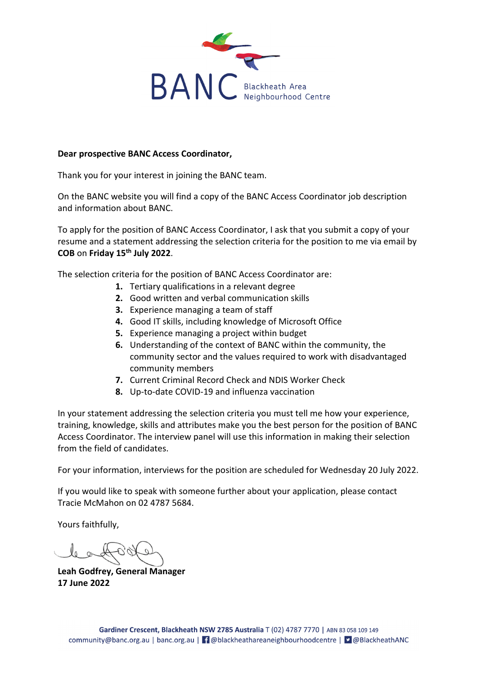

#### **Dear prospective BANC Access Coordinator,**

Thank you for your interest in joining the BANC team.

On the BANC website you will find a copy of the BANC Access Coordinator job description and information about BANC.

To apply for the position of BANC Access Coordinator, I ask that you submit a copy of your resume and a statement addressing the selection criteria for the position to me via email by **COB** on **Friday 15th July 2022**.

The selection criteria for the position of BANC Access Coordinator are:

- **1.** Tertiary qualifications in a relevant degree
- **2.** Good written and verbal communication skills
- **3.** Experience managing a team of staff
- **4.** Good IT skills, including knowledge of Microsoft Office
- **5.** Experience managing a project within budget
- **6.** Understanding of the context of BANC within the community, the community sector and the values required to work with disadvantaged community members
- **7.** Current Criminal Record Check and NDIS Worker Check
- **8.** Up-to-date COVID-19 and influenza vaccination

In your statement addressing the selection criteria you must tell me how your experience, training, knowledge, skills and attributes make you the best person for the position of BANC Access Coordinator. The interview panel will use this information in making their selection from the field of candidates.

For your information, interviews for the position are scheduled for Wednesday 20 July 2022.

If you would like to speak with someone further about your application, please contact Tracie McMahon on 02 4787 5684.

Yours faithfully,

**Leah Godfrey, General Manager 17 June 2022**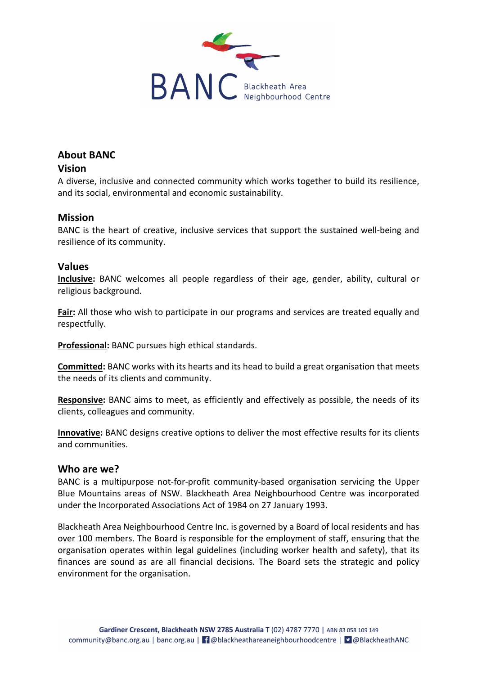

# **About BANC**

## **Vision**

A diverse, inclusive and connected community which works together to build its resilience, and its social, environmental and economic sustainability.

## **Mission**

BANC is the heart of creative, inclusive services that support the sustained well-being and resilience of its community.

## **Values**

**Inclusive:** BANC welcomes all people regardless of their age, gender, ability, cultural or religious background.

**Fair:** All those who wish to participate in our programs and services are treated equally and respectfully.

**Professional:** BANC pursues high ethical standards.

**Committed:** BANC works with its hearts and its head to build a great organisation that meets the needs of its clients and community.

**Responsive:** BANC aims to meet, as efficiently and effectively as possible, the needs of its clients, colleagues and community.

**Innovative:** BANC designs creative options to deliver the most effective results for its clients and communities.

## **Who are we?**

BANC is a multipurpose not-for-profit community-based organisation servicing the Upper Blue Mountains areas of NSW. Blackheath Area Neighbourhood Centre was incorporated under the Incorporated Associations Act of 1984 on 27 January 1993.

Blackheath Area Neighbourhood Centre Inc. is governed by a Board of local residents and has over 100 members. The Board is responsible for the employment of staff, ensuring that the organisation operates within legal guidelines (including worker health and safety), that its finances are sound as are all financial decisions. The Board sets the strategic and policy environment for the organisation.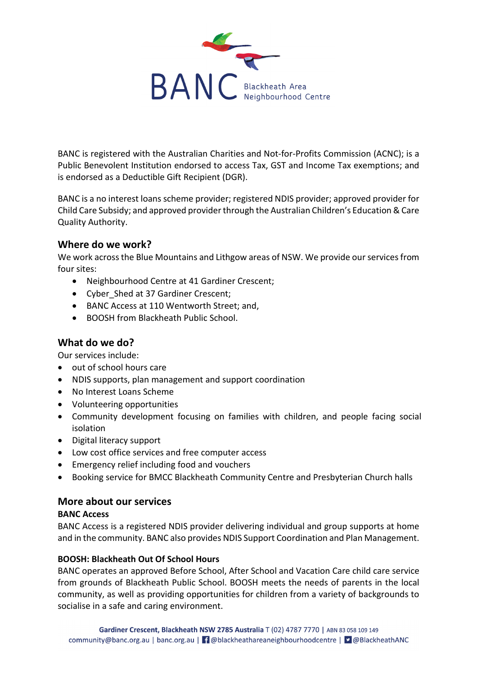

BANC is registered with the Australian Charities and Not-for-Profits Commission (ACNC); is a Public Benevolent Institution endorsed to access Tax, GST and Income Tax exemptions; and is endorsed as a Deductible Gift Recipient (DGR).

BANC is a no interest loans scheme provider; registered NDIS provider; approved provider for Child Care Subsidy; and approved provider through the Australian Children's Education & Care Quality Authority.

### **Where do we work?**

We work across the Blue Mountains and Lithgow areas of NSW. We provide our services from four sites:

- Neighbourhood Centre at 41 Gardiner Crescent;
- Cyber Shed at 37 Gardiner Crescent;
- BANC Access at 110 Wentworth Street; and,
- BOOSH from Blackheath Public School.

## **What do we do?**

Our services include:

- out of school hours care
- NDIS supports, plan management and support coordination
- No Interest Loans Scheme
- Volunteering opportunities
- Community development focusing on families with children, and people facing social isolation
- Digital literacy support
- Low cost office services and free computer access
- Emergency relief including food and vouchers
- Booking service for BMCC Blackheath Community Centre and Presbyterian Church halls

### **More about our services**

### **BANC Access**

BANC Access is a registered NDIS provider delivering individual and group supports at home and in the community. BANC also provides NDIS Support Coordination and Plan Management.

### **BOOSH: Blackheath Out Of School Hours**

BANC operates an approved Before School, After School and Vacation Care child care service from grounds of Blackheath Public School. BOOSH meets the needs of parents in the local community, as well as providing opportunities for children from a variety of backgrounds to socialise in a safe and caring environment.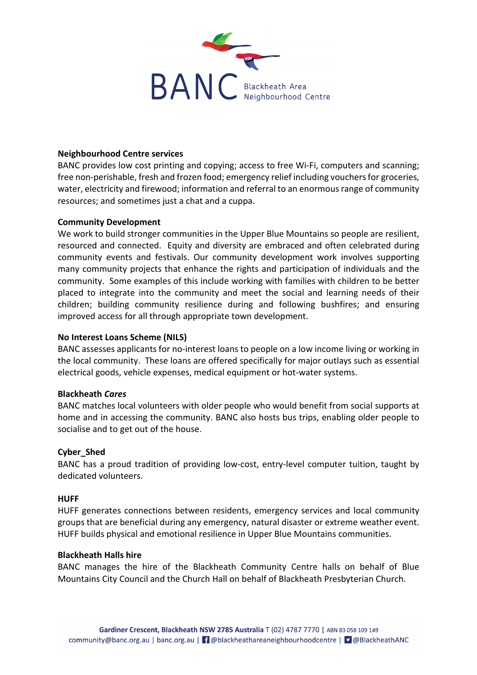

### **Neighbourhood Centre services**

BANC provides low cost printing and copying; access to free Wi-Fi, computers and scanning; free non-perishable, fresh and frozen food; emergency relief including vouchers for groceries, water, electricity and firewood; information and referral to an enormous range of community resources; and sometimes just a chat and a cuppa.

#### **Community Development**

We work to build stronger communities in the Upper Blue Mountains so people are resilient, resourced and connected. Equity and diversity are embraced and often celebrated during community events and festivals. Our community development work involves supporting many community projects that enhance the rights and participation of individuals and the community. Some examples of this include working with families with children to be better placed to integrate into the community and meet the social and learning needs of their children; building community resilience during and following bushfires; and ensuring improved access for all through appropriate town development.

#### **No Interest Loans Scheme (NILS)**

BANC assesses applicants for no-interest loans to people on a low income living or working in the local community. These loans are offered specifically for major outlays such as essential electrical goods, vehicle expenses, medical equipment or hot-water systems.

#### **Blackheath** *Cares*

BANC matches local volunteers with older people who would benefit from social supports at home and in accessing the community. BANC also hosts bus trips, enabling older people to socialise and to get out of the house.

#### **Cyber\_Shed**

BANC has a proud tradition of providing low-cost, entry-level computer tuition, taught by dedicated volunteers.

#### **HUFF**

HUFF generates connections between residents, emergency services and local community groups that are beneficial during any emergency, natural disaster or extreme weather event. HUFF builds physical and emotional resilience in Upper Blue Mountains communities.

#### **Blackheath Halls hire**

BANC manages the hire of the Blackheath Community Centre halls on behalf of Blue Mountains City Council and the Church Hall on behalf of Blackheath Presbyterian Church.